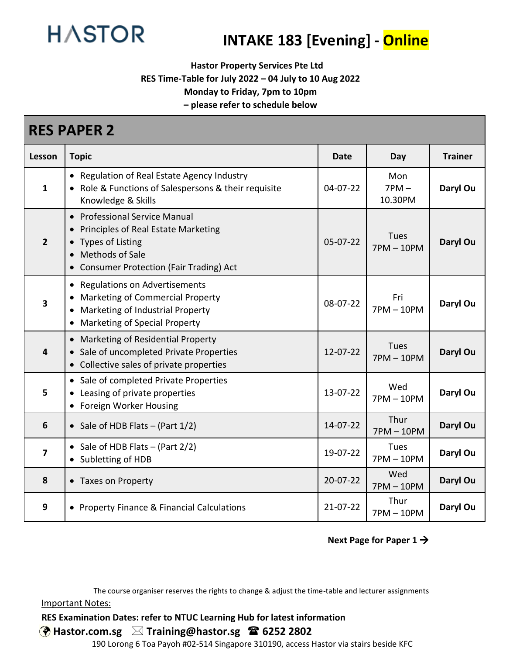

# **INTAKE 183 [Evening] - Online**

**Hastor Property Services Pte Ltd**

**RES Time-Table for July 2022 – 04 July to 10 Aug 2022**

**Monday to Friday, 7pm to 10pm**

**– please refer to schedule below**

| <b>RES PAPER 2</b>      |                                                                                                                                                                          |                |                             |                |  |  |
|-------------------------|--------------------------------------------------------------------------------------------------------------------------------------------------------------------------|----------------|-----------------------------|----------------|--|--|
| Lesson                  | <b>Topic</b>                                                                                                                                                             | <b>Date</b>    | Day                         | <b>Trainer</b> |  |  |
| $\mathbf{1}$            | • Regulation of Real Estate Agency Industry<br>Role & Functions of Salespersons & their requisite<br>Knowledge & Skills                                                  | 04-07-22       | Mon<br>$7PM -$<br>10.30PM   | Daryl Ou       |  |  |
| $\overline{2}$          | <b>Professional Service Manual</b><br>Principles of Real Estate Marketing<br><b>Types of Listing</b><br>Methods of Sale<br><b>Consumer Protection (Fair Trading) Act</b> | $05-07-22$     | <b>Tues</b><br>$7PM - 10PM$ | Daryl Ou       |  |  |
| $\overline{\mathbf{3}}$ | <b>Regulations on Advertisements</b><br>$\bullet$<br><b>Marketing of Commercial Property</b><br>Marketing of Industrial Property<br>Marketing of Special Property        | 08-07-22       | Fri<br>$7PM - 10PM$         | Daryl Ou       |  |  |
| $\overline{\mathbf{4}}$ | Marketing of Residential Property<br>Sale of uncompleted Private Properties<br>Collective sales of private properties                                                    | 12-07-22       | <b>Tues</b><br>$7PM - 10PM$ | Daryl Ou       |  |  |
| 5                       | • Sale of completed Private Properties<br>Leasing of private properties<br>Foreign Worker Housing                                                                        | 13-07-22       | Wed<br>$7PM - 10PM$         | Daryl Ou       |  |  |
| $6\phantom{1}6$         | • Sale of HDB Flats $-$ (Part $1/2$ )                                                                                                                                    | 14-07-22       | Thur<br>7PM-10PM            | Daryl Ou       |  |  |
| $\overline{\mathbf{z}}$ | • Sale of HDB Flats $-$ (Part 2/2)<br>• Subletting of HDB                                                                                                                | 19-07-22       | Tues<br>$7PM - 10PM$        | Daryl Ou       |  |  |
| 8                       | <b>Taxes on Property</b>                                                                                                                                                 | $20 - 07 - 22$ | Wed<br>$7PM - 10PM$         | Daryl Ou       |  |  |
| 9                       | • Property Finance & Financial Calculations                                                                                                                              | 21-07-22       | Thur<br>$7PM - 10PM$        | Daryl Ou       |  |  |

**Next Page for Paper 1** →

The course organiser reserves the rights to change & adjust the time-table and lecturer assignments Important Notes:

#### **RES Examination Dates: refer to NTUC Learning Hub for latest information**

**Hastor.com.sg Training@hastor.sg 6252 2802**

190 Lorong 6 Toa Payoh #02-514 Singapore 310190, access Hastor via stairs beside KFC